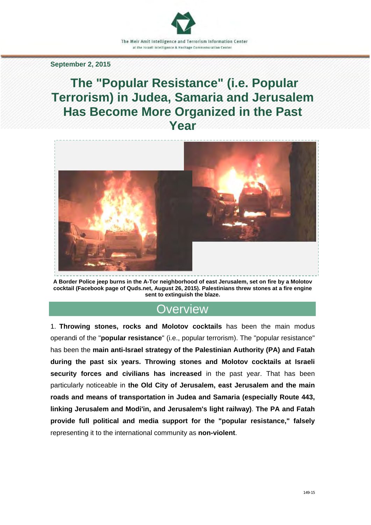#### **September 2, 2015**

# **The "Popular Resistance" (i.e. Popular Terrorism) in Judea, Samaria and Jerusalem Has Become More Organized in the Past Year**



**A Border Police jeep burns in the A-Tor neighborhood of east Jerusalem, set on fire by a Molotov cocktail (Facebook page of Quds.net, August 26, 2015). Palestinians threw stones at a fire engine sent to extinguish the blaze.** 

### **Overview**

1. **Throwing stones, rocks and Molotov cocktails** has been the main modus operandi of the "**popular resistance**" (i.e., popular terrorism). The "popular resistance" has been the **main anti-Israel strategy of the Palestinian Authority (PA) and Fatah during the past six years. Throwing stones and Molotov cocktails at Israeli security forces and civilians has increased** in the past year. That has been particularly noticeable in **the Old City of Jerusalem, east Jerusalem and the main roads and means of transportation in Judea and Samaria (especially Route 443, linking Jerusalem and Modi'in, and Jerusalem's light railway)**. **The PA and Fatah provide full political and media support for the "popular resistance," falsely** representing it to the international community as **non-violent**.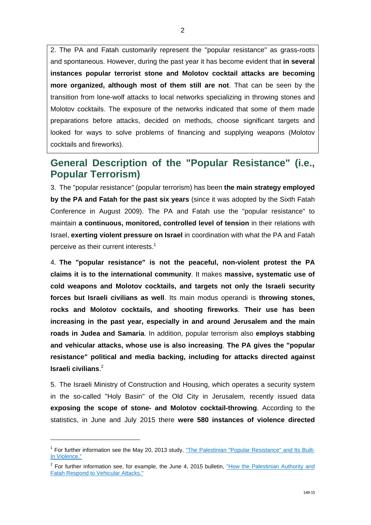2

2. The PA and Fatah customarily represent the "popular resistance" as grass-roots and spontaneous. However, during the past year it has become evident that **in several instances popular terrorist stone and Molotov cocktail attacks are becoming more organized, although most of them still are not**. That can be seen by the transition from lone-wolf attacks to local networks specializing in throwing stones and Molotov cocktails. The exposure of the networks indicated that some of them made preparations before attacks, decided on methods, choose significant targets and looked for ways to solve problems of financing and supplying weapons (Molotov cocktails and fireworks).

## **General Description of the "Popular Resistance" (i.e., Popular Terrorism)**

3. The "popular resistance" (popular terrorism) has been **the main strategy employed by the PA and Fatah for the past six years** (since it was adopted by the Sixth Fatah Conference in August 2009). The PA and Fatah use the "popular resistance" to maintain **a continuous, monitored, controlled level of tension** in their relations with Israel, **exerting violent pressure on Israel** in coordination with what the PA and Fatah perceive as their current interests. $1$ 

4. **The "popular resistance" is not the peaceful, non-violent protest the PA claims it is to the international community**. It makes **massive, systematic use of cold weapons and Molotov cocktails, and targets not only the Israeli security forces but Israeli civilians as well**. Its main modus operandi is **throwing stones, rocks and Molotov cocktails, and shooting fireworks**. **Their use has been increasing in the past year, especially in and around Jerusalem and the main roads in Judea and Samaria**. In addition, popular terrorism also **employs stabbing and vehicular attacks, whose use is also increasing**. **The PA gives the "popular resistance" political and media backing, including for attacks directed against Israeli civilians**. 2

5. The Israeli Ministry of Construction and Housing, which operates a security system in the so-called "Holy Basin" of the Old City in Jerusalem, recently issued data **exposing the scope of stone- and Molotov cocktail-throwing**. According to the statistics, in June and July 2015 there **were 580 instances of violence directed** 

-

<sup>&</sup>lt;sup>1</sup> [For further information see the May 20, 2013 study, "The Palestinian "Popular Resistance" and Its Built-](http://www.terrorism-info.org.il/en/article/20515)In Violence."

<sup>&</sup>lt;sup>2</sup> For further information see, for example, the June 4, 2015 bulletin, "How the Palestinian Authority and Fatah Respond to Vehicular Attacks."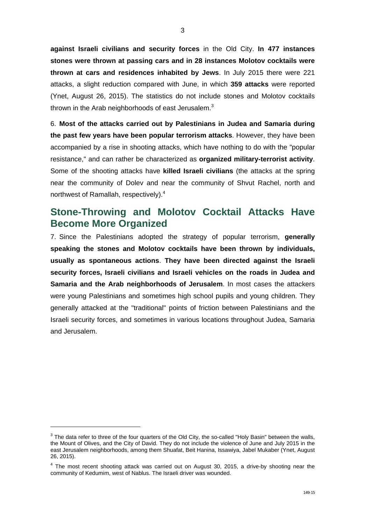**against Israeli civilians and security forces** in the Old City. **In 477 instances stones were thrown at passing cars and in 28 instances Molotov cocktails were thrown at cars and residences inhabited by Jews**. In July 2015 there were 221 attacks, a slight reduction compared with June, in which **359 attacks** were reported (Ynet, August 26, 2015). The statistics do not include stones and Molotov cocktails thrown in the Arab neighborhoods of east Jerusalem.<sup>3</sup>

6. **Most of the attacks carried out by Palestinians in Judea and Samaria during the past few years have been popular terrorism attacks**. However, they have been accompanied by a rise in shooting attacks, which have nothing to do with the "popular resistance," and can rather be characterized as **organized military-terrorist activity**. Some of the shooting attacks have **killed Israeli civilians** (the attacks at the spring near the community of Dolev and near the community of Shvut Rachel, north and northwest of Ramallah, respectively).<sup>4</sup>

### **Stone-Throwing and Molotov Cocktail Attacks Have Become More Organized**

7. Since the Palestinians adopted the strategy of popular terrorism, **generally speaking the stones and Molotov cocktails have been thrown by individuals, usually as spontaneous actions**. **They have been directed against the Israeli security forces, Israeli civilians and Israeli vehicles on the roads in Judea and Samaria and the Arab neighborhoods of Jerusalem**. In most cases the attackers were young Palestinians and sometimes high school pupils and young children. They generally attacked at the "traditional" points of friction between Palestinians and the Israeli security forces, and sometimes in various locations throughout Judea, Samaria and Jerusalem.

-

 $3$  The data refer to three of the four quarters of the Old City, the so-called "Holy Basin" between the walls, the Mount of Olives, and the City of David. They do not include the violence of June and July 2015 in the east Jerusalem neighborhoods, among them Shuafat, Beit Hanina, Issawiya, Jabel Mukaber (Ynet, August 26, 2015).

 $4$  The most recent shooting attack was carried out on August 30, 2015, a drive-by shooting near the community of Kedumim, west of Nablus. The Israeli driver was wounded.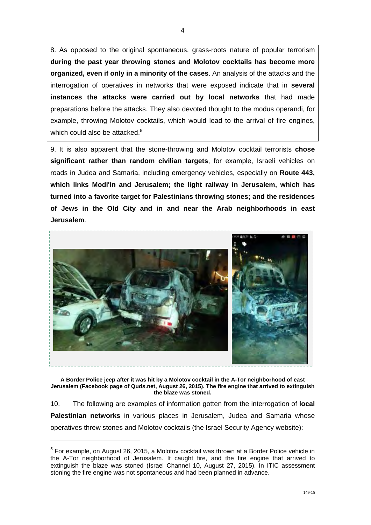8. As opposed to the original spontaneous, grass-roots nature of popular terrorism **during the past year throwing stones and Molotov cocktails has become more organized, even if only in a minority of the cases**. An analysis of the attacks and the interrogation of operatives in networks that were exposed indicate that in **several instances the attacks were carried out by local networks** that had made preparations before the attacks. They also devoted thought to the modus operandi, for example, throwing Molotov cocktails, which would lead to the arrival of fire engines, which could also be attacked.<sup>5</sup>

9. It is also apparent that the stone-throwing and Molotov cocktail terrorists **chose significant rather than random civilian targets**, for example, Israeli vehicles on roads in Judea and Samaria, including emergency vehicles, especially on **Route 443, which links Modi'in and Jerusalem; the light railway in Jerusalem, which has turned into a favorite target for Palestinians throwing stones; and the residences of Jews in the Old City and in and near the Arab neighborhoods in east Jerusalem**.



**A Border Police jeep after it was hit by a Molotov cocktail in the A-Tor neighborhood of east Jerusalem (Facebook page of Quds.net, August 26, 2015). The fire engine that arrived to extinguish the blaze was stoned.** 

10. The following are examples of information gotten from the interrogation of **local Palestinian networks** in various places in Jerusalem, Judea and Samaria whose operatives threw stones and Molotov cocktails (the Israel Security Agency website):

 $\overline{a}$ 

 $<sup>5</sup>$  For example, on August 26, 2015, a Molotov cocktail was thrown at a Border Police vehicle in</sup> the A-Tor neighborhood of Jerusalem. It caught fire, and the fire engine that arrived to extinguish the blaze was stoned (Israel Channel 10, August 27, 2015). In ITIC assessment stoning the fire engine was not spontaneous and had been planned in advance.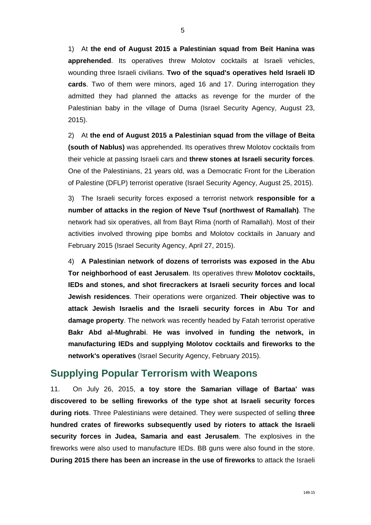1) At **the end of August 2015 a Palestinian squad from Beit Hanina was apprehended**. Its operatives threw Molotov cocktails at Israeli vehicles, wounding three Israeli civilians. **Two of the squad's operatives held Israeli ID cards**. Two of them were minors, aged 16 and 17. During interrogation they admitted they had planned the attacks as revenge for the murder of the Palestinian baby in the village of Duma (Israel Security Agency, August 23, 2015).

2) At **the end of August 2015 a Palestinian squad from the village of Beita (south of Nablus)** was apprehended. Its operatives threw Molotov cocktails from their vehicle at passing Israeli cars and **threw stones at Israeli security forces**. One of the Palestinians, 21 years old, was a Democratic Front for the Liberation of Palestine (DFLP) terrorist operative (Israel Security Agency, August 25, 2015).

3) The Israeli security forces exposed a terrorist network **responsible for a number of attacks in the region of Neve Tsuf (northwest of Ramallah)**. The network had six operatives, all from Bayt Rima (north of Ramallah). Most of their activities involved throwing pipe bombs and Molotov cocktails in January and February 2015 (Israel Security Agency, April 27, 2015).

4) **A Palestinian network of dozens of terrorists was exposed in the Abu Tor neighborhood of east Jerusalem**. Its operatives threw **Molotov cocktails, IEDs and stones, and shot firecrackers at Israeli security forces and local Jewish residences**. Their operations were organized. **Their objective was to attack Jewish Israelis and the Israeli security forces in Abu Tor and damage property**. The network was recently headed by Fatah terrorist operative **Bakr Abd al-Mughrabi**. **He was involved in funding the network, in manufacturing IEDs and supplying Molotov cocktails and fireworks to the network's operatives** (Israel Security Agency, February 2015).

#### **Supplying Popular Terrorism with Weapons**

11. On July 26, 2015, **a toy store the Samarian village of Bartaa' was discovered to be selling fireworks of the type shot at Israeli security forces during riots**. Three Palestinians were detained. They were suspected of selling **three hundred crates of fireworks subsequently used by rioters to attack the Israeli security forces in Judea, Samaria and east Jerusalem**. The explosives in the fireworks were also used to manufacture IEDs. BB guns were also found in the store. **During 2015 there has been an increase in the use of fireworks** to attack the Israeli